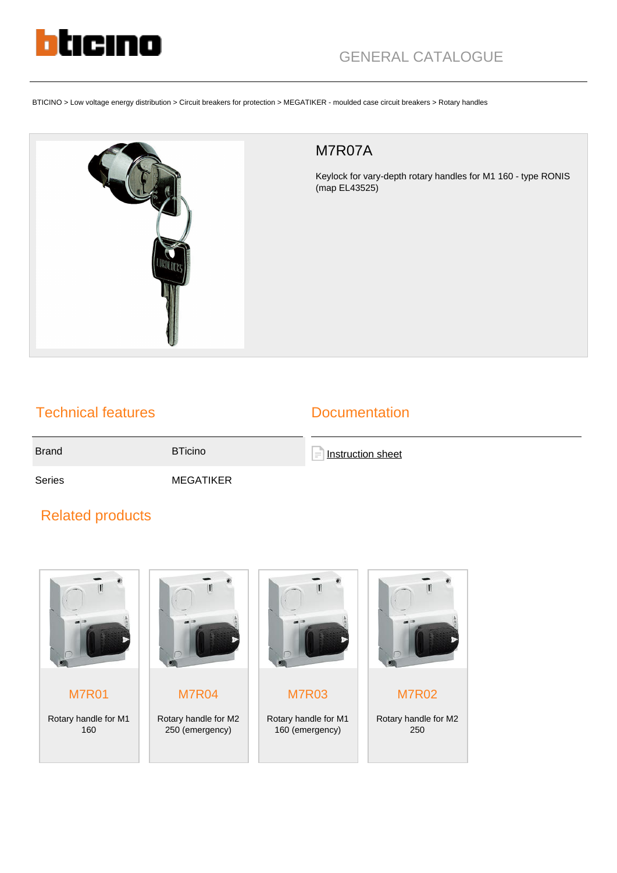

BTICINO > Low voltage energy distribution > Circuit breakers for protection > MEGATIKER - moulded case circuit breakers > Rotary handles



## M7R07A

Keylock for vary-depth rotary handles for M1 160 - type RONIS (map EL43525)

## Technical features

## **Documentation**

Brand BTicino

**[Instruction sheet](https://catalogue.bticino.com/app/webroot/low_res/516351_516352_Y3499B.pdf)** 

Series MEGATIKER

## Related products



M7R01 Rotary handle for M1 160



M7R04 Rotary handle for M2 250 (emergency)



M7R03 Rotary handle for M1 160 (emergency)



M7R02

Rotary handle for M2 250